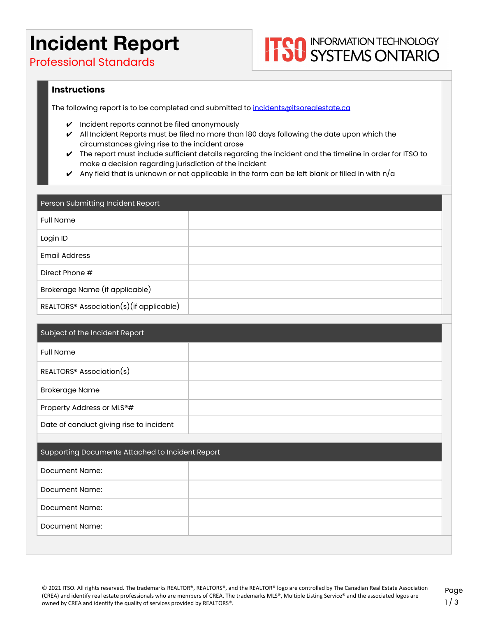## **Incident Report**

**ITOO INFORMATION TECHNOLOGY**<br> **ITOO SYSTEMS ONTARIO** 

Professional Standards

### **Instructions**

The following report is to be completed and submitted to [incidents@itsorealestate.ca](mailto:incidents@itsorealestate.ca)

- ✔ Incident reports cannot be filed anonymously
- $\blacktriangleright$  All Incident Reports must be filed no more than 180 days following the date upon which the circumstances giving rise to the incident arose
- ✔ The report must include sufficient details regarding the incident and the timeline in order for ITSO to make a decision regarding jurisdiction of the incident
- Any field that is unknown or not applicable in the form can be left blank or filled in with  $n/\alpha$

| Person Submitting Incident Report                   |  |
|-----------------------------------------------------|--|
| <b>Full Name</b>                                    |  |
| Login ID                                            |  |
| <b>Email Address</b>                                |  |
| Direct Phone #                                      |  |
| Brokerage Name (if applicable)                      |  |
| REALTORS <sup>®</sup> Association(s)(if applicable) |  |

| Subject of the Incident Report                   |  |
|--------------------------------------------------|--|
| <b>Full Name</b>                                 |  |
| REALTORS <sup>®</sup> Association(s)             |  |
| <b>Brokerage Name</b>                            |  |
| Property Address or MLS®#                        |  |
| Date of conduct giving rise to incident          |  |
|                                                  |  |
| Supporting Documents Attached to Incident Report |  |
| Document Name:                                   |  |

| Document Name: |  |
|----------------|--|
| Document Name: |  |
| Document Name: |  |
|                |  |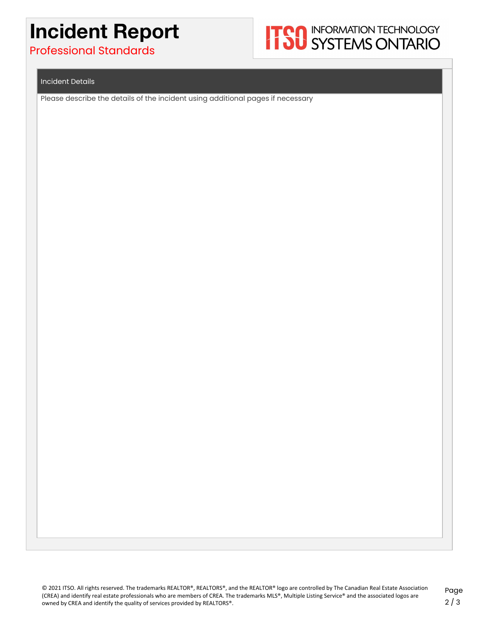# **Incident Report**

## Professional Standards



#### Incident Details

Please describe the details of the incident using additional pages if necessary

© 2021 ITSO. All rights reserved. The trademarks REALTOR®, REALTORS®, and the REALTOR® logo are controlled by The Canadian Real Estate Association (CREA) and identify real estate professionals who are members of CREA. The trademarks MLS®, Multiple Listing Service® and the associated logos are owned by CREA and identify the quality of services provided by REALTORS®.